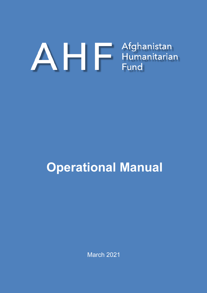# A Humanitarian<br>Fund

# **Operational Manual**

March 2021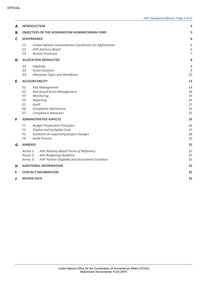| A | <b>INTRODUCTION</b><br>4                           |                                                                                                                                                        |                                        |  |  |  |
|---|----------------------------------------------------|--------------------------------------------------------------------------------------------------------------------------------------------------------|----------------------------------------|--|--|--|
| В |                                                    | <b>OBJECTIVES OF THE AFGHANISTAN HUMANITARIAN FUND</b>                                                                                                 | 5                                      |  |  |  |
| C | <b>GOVERNANCE</b>                                  |                                                                                                                                                        |                                        |  |  |  |
|   | C <sub>1</sub><br>C2<br>C <sub>3</sub>             | United Nations Humanitarian Coordinator for Afghanistan<br><b>AHF Advisory Board</b><br><b>Review Processes</b>                                        | 6<br>6<br>7                            |  |  |  |
| D |                                                    | <b>ALLOCATION MODALITIES</b>                                                                                                                           | 8                                      |  |  |  |
|   | D1<br>D <sub>2</sub><br>D <sub>3</sub>             | Eligibility<br><b>Grant Duration</b><br>Allocation Types and Workflows                                                                                 | 8<br>9<br>10                           |  |  |  |
| Е |                                                    | <b>ACCOUNTABILITY</b>                                                                                                                                  | 13                                     |  |  |  |
|   | E1<br>E <sub>2</sub><br>E3<br>E4<br>E5<br>E6<br>E7 | <b>Risk Management</b><br>Risk-based Grant Management<br>Monitoring<br>Reporting<br>Audit<br><b>Complaints Mechanism</b><br><b>Compliance Measures</b> | 14<br>18<br>20<br>23<br>25<br>25<br>25 |  |  |  |
| F |                                                    | <b>ADMINISTRATIVE ASPECTS</b>                                                                                                                          | 26                                     |  |  |  |
|   | F1<br>F <sub>2</sub><br>F <sub>3</sub><br>F4       | 26<br>27<br>28<br>30                                                                                                                                   |                                        |  |  |  |
| G | <b>ANNEXES</b>                                     |                                                                                                                                                        | 32                                     |  |  |  |
|   | Annex 1:<br>Annex 2:<br>Annex 3:                   | AHF Advisory Board Terms of Reference<br><b>AHF Budgeting Guideline</b><br>AHF Partner Eligibility and Assessment Guidance                             | 32<br>32<br>32                         |  |  |  |
| н |                                                    | <b>ADDITIONAL INFORMATION</b>                                                                                                                          | 32                                     |  |  |  |
| ı |                                                    | <b>CONTACT INFORMATION</b>                                                                                                                             | 32                                     |  |  |  |
| J | 32<br><b>REVIEW DATE</b>                           |                                                                                                                                                        |                                        |  |  |  |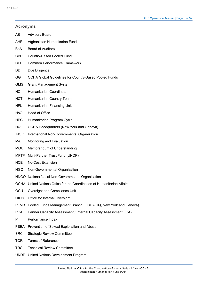|             | <b>Acronyms</b>                                                         |  |  |  |  |  |  |
|-------------|-------------------------------------------------------------------------|--|--|--|--|--|--|
| AB          | <b>Advisory Board</b>                                                   |  |  |  |  |  |  |
| AHF         | Afghanistan Humanitarian Fund                                           |  |  |  |  |  |  |
| <b>BoA</b>  | <b>Board of Auditors</b>                                                |  |  |  |  |  |  |
| <b>CBPF</b> | Country-Based Pooled Fund                                               |  |  |  |  |  |  |
| <b>CPF</b>  | <b>Common Performance Framework</b>                                     |  |  |  |  |  |  |
| DD          | Due Diligence                                                           |  |  |  |  |  |  |
| GG          | <b>OCHA Global Guidelines for Country-Based Pooled Funds</b>            |  |  |  |  |  |  |
| <b>GMS</b>  | <b>Grant Management System</b>                                          |  |  |  |  |  |  |
| HС          | Humanitarian Coordinator                                                |  |  |  |  |  |  |
| <b>HCT</b>  | Humanitarian Country Team                                               |  |  |  |  |  |  |
| <b>HFU</b>  | Humanitarian Financing Unit                                             |  |  |  |  |  |  |
| HoO         | Head of Office                                                          |  |  |  |  |  |  |
| <b>HPC</b>  | Humanitarian Program Cycle                                              |  |  |  |  |  |  |
| HQ          | <b>OCHA Headquarters (New York and Geneva)</b>                          |  |  |  |  |  |  |
| <b>INGO</b> | International Non-Governmental Organization                             |  |  |  |  |  |  |
| M&E         | Monitoring and Evaluation                                               |  |  |  |  |  |  |
| <b>MOU</b>  | Memorandum of Understanding                                             |  |  |  |  |  |  |
| MPTF        | Multi-Partner Trust Fund (UNDP)                                         |  |  |  |  |  |  |
| <b>NCE</b>  | <b>No-Cost Extension</b>                                                |  |  |  |  |  |  |
| <b>NGO</b>  | Non-Governmental Organization                                           |  |  |  |  |  |  |
|             | NNGO National/Local Non-Governmental Organization                       |  |  |  |  |  |  |
|             | OCHA United Nations Office for the Coordination of Humanitarian Affairs |  |  |  |  |  |  |
| OCU         | Oversight and Compliance Unit                                           |  |  |  |  |  |  |
| <b>OIOS</b> | Office for Internal Oversight                                           |  |  |  |  |  |  |
| <b>PFMB</b> | Pooled Funds Management Branch (OCHA HQ, New York and Geneva)           |  |  |  |  |  |  |
| <b>PCA</b>  | Partner Capacity Assessment / Internal Capacity Assessment (ICA)        |  |  |  |  |  |  |
| ΡI          | Performance Index                                                       |  |  |  |  |  |  |
| PSEA        | Prevention of Sexual Exploitation and Abuse                             |  |  |  |  |  |  |
| <b>SRC</b>  | <b>Strategic Review Committee</b>                                       |  |  |  |  |  |  |
| <b>TOR</b>  | <b>Terms of Reference</b>                                               |  |  |  |  |  |  |
| <b>TRC</b>  | <b>Technical Review Committee</b>                                       |  |  |  |  |  |  |

UNDP United Nations Development Program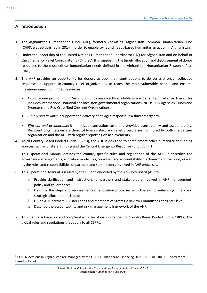# **Introduction**

- 1. The Afghanistan Humanitarian Fund (AHF), formerly known as 'Afghanistan Common Humanitarian Fund (CHF)', was established in 2014 in order to enable swift and needs-based humanitarian action in Afghanistan.
- 2. Under the leadership of the United Nations Humanitarian Coordinator (HC) for Afghanistan and on behalf of the Emergency Relief Coordinator (ERC), the AHF issupporting the timely allocation and disbursement of donor resources to the most critical humanitarian needs defined in the Afghanistan Humanitarian Response Plan (HRP).
- 3. The AHF provides an opportunity for donors to pool their contributions to deliver a stronger collective response. It supports in-country relief organizations to reach the most vulnerable people and ensures maximum impact of limited resources:
	- *Inclusive and promoting partnerships:* Funds are directly available to a wide range of relief partners. This includes international, national and local non-governmental organizations (NGOs), UN Agencies, Funds and Programs and Red Cross/Red Crescent Organizations.
	- *Timely and flexible:* It supports the delivery of an agile response in a fluid emergency.
	- *Efficient and accountable:* It minimizes transaction costs and provides transparency and accountability. Recipient organizations are thoroughly evaluated, and relief projects are monitored by both the partner organization and the AHF with regular reporting on achievements.
- 4. As all Country-Based Pooled Funds (CBPFs), the AHF is designed to complement other humanitarian funding sources such as bilateral funding and the Central Emergency Response Fund (CERF)1.
- 5. This Operational Manual defines the country-specific rules and regulations of the AHF. It describes the governance arrangements, allocation modalities, priorities, and accountability mechanisms of the Fund, as well as the roles and responsibilities of partners and stakeholders involved in AHF processes.
- 6. This Operational Manual is issued by the HC and endorsed by the Advisory Board (AB) to:
	- i. Provide clarification and instructions for partners and stakeholders involved in AHF management, policy and governance;
	- ii. Describe the steps and requirements of allocation processes with the aim of enhancing timely and strategic allocation decisions;
	- iii. Guide AHF partners, Cluster Leads and members of Strategic Review Committees at cluster level;
	- iv. Describe the accountability and risk management framework of the AHF.
- 7. This manual is based on and compliant with the Global Guidelines for Country Based Pooled Funds (CBPFs), the global rules and regulations that apply to all CBPFs.

<sup>&</sup>lt;sup>1</sup> CERF allocations in Afghanistan are managed by the OCHA Humanitarian Financing Unit (HFU) (incl. the AHF Secretariat) based in Kabul.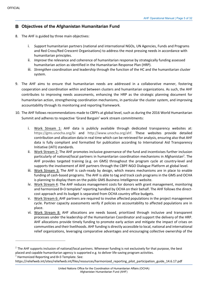# **Objectives of the Afghanistan Humanitarian Fund**

- 8. The AHF is guided by three main objectives:
	- i. *Support* humanitarian partners (national and international NGOs, UN Agencies, Funds and Programs and Red Cross/Red Crescent Organisations) to address the most pressing needs in accordance with humanitarian principles.
	- ii. *Improve* the relevance and coherence of humanitarian response by strategically funding assessed humanitarian action as identified in the Humanitarian Response Plan (HRP).
	- iii. *Strengthen* coordination and leadership through the function of the HC and the humanitarian cluster system.
- 9. The AHF aims to ensure that humanitarian needs are addressed in a collaborative manner, fostering cooperation and coordination within and between clusters and humanitarian organizations. As such, the AHF contributes to improving needs assessments, enhancing the HRP as the strategic planning document for humanitarian action, strengthening coordination mechanisms, in particular the cluster system, and improving accountability through its monitoring and reporting framework.
- 10. The AHF follows recommendations made to CBPFs at global level, such as during the 2016 World Humanitarian Summit and adheres to respective 'Grand Bargain' work stream commitments:
	- i. Work Stream 1: AHF data is publicly available through dedicated transparency websites at: https://gms.unocha.org/bi and http://www.unocha.org/ahf. These websites provide detailed contribution and allocation data in real time which can be retrieved for analysis, ensuring also that AHF data is fully compliant and formatted for publication according to International Aid Transparency Initiative (IATI) standards.
	- ii. Work Stream 2: The AHF promotes inclusive governance of the fund and incentivises further inclusion particularly of national/local partners in humanitarian coordination mechanisms in Afghanistan<sup>2</sup>. The AHF provides targeted training (e.g. on GMS) throughout the program cycle at country-level and supports the involvement of AHF partners through the CBPF-NGO Dialogue Platform at global level.
	- iii. Work Stream 3: The AHF is cash-ready by design, which means mechanisms are in place to enable funding of cash-based programs. The AHF is able to tag and track cash programs in the GMS and OCHA is planning to display them on the public GMS Business Intelligence website.
	- iv. Work Stream 4: The AHF reduces management costs for donors with grant management, monitoring and harmonized 8+3 template<sup>3</sup> reporting handled by OCHA on their behalf. The AHF follows the directcost approach and its budget is separated from OCHA country office budgets.
	- v. Work Stream 6: AHF partners are required to involve affected populations in the project management cycle. Partner capacity assessments verify if policies on accountability to affected populations are in place.
	- vi. Work Stream 8: AHF allocations are needs based, prioritized through inclusive and transparent processes under the leadership of the Humanitarian Coordinator and support the delivery of the HRP. AHF allocations provide timely funding to promote early action and mitigate the impact of crises on communities and their livelihoods. AHF funding is directly accessible to local, national and international relief organizations, leveraging comparative advantages and encouraging collective ownership of the

 $2$  The AHF supports inclusion of national/local partners. Whenever funding is not exclusively for that purpose, the best placed and capable humanitarian agency is supported e.g. to deliver life-saving program activities.  $3$  Harmonized Reporting and 8+3 Template. See:

https://reliefweb.int/sites/reliefweb.int/files/resources/harmonized\_reporting\_pilot\_participation\_guide\_14.6.17.pdf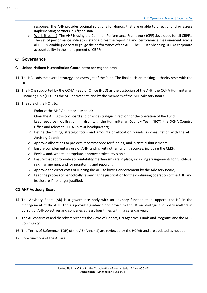response. The AHF provides optimal solutions for donors that are unable to directly fund or assess implementing partners in Afghanistan.

vii. Work Stream 9: The AHF is using the Common Performance Framework (CPF) developed for all CBPFs. The set of performance indicators standardizes the reporting and performance measurement across all CBPFs, enabling donors to gauge the performance of the AHF. The CPF is enhancing OCHAs corporate accountability in the management of CBPFs.

# **Governance**

#### **C1 United Nations Humanitarian Coordinator for Afghanistan**

- 11. The HC leads the overall strategy and oversight of the Fund. The final decision-making authority rests with the HC.
- 12. The HC is supported by the OCHA Head of Office (HoO) as the custodian of the AHF, the OCHA Humanitarian Financing Unit (HFU) as the AHF secretariat, and by the members of the AHF Advisory Board.
- 13. The role of the HC is to:
	- i. Endorse the AHF Operational Manual;
	- ii. Chair the AHF Advisory Board and provide strategic direction for the operation of the Fund;
	- iii. Lead resource mobilisation in liaison with the Humanitarian Country Team (HCT), the OCHA Country Office and relevant OCHA units at headquarters;
	- iv. Define the timing, strategic focus and amounts of allocation rounds, in consultation with the AHF Advisory Board;
	- v. Approve allocations to projects recommended for funding, and initiate disbursements;
	- vi. Ensure complementary use of AHF funding with other funding sources, including the CERF;
	- vii. Review and, where appropriate, approve project revisions;
	- viii. Ensure that appropriate accountability mechanisms are in place, including arrangements for fund-level risk management and for monitoring and reporting;
	- ix. Approve the direct costs of running the AHF following endorsement by the Advisory Board;
	- x. Lead the process of periodically reviewing the justification for the continuing operation of the AHF, and its closure if no longer justified.

#### **C2 AHF Advisory Board**

- 14. The Advisory Board (AB) is a governance body with an advisory function that supports the HC in the management of the AHF. The AB provides guidance and advice to the HC on strategic and policy matters in pursuit of AHF objectives and convenes at least four times within a calendar year.
- 15. The AB consists of and thereby represents the views of Donors, UN Agencies, Funds and Programs and the NGO Community.
- 16. The Terms of Reference (TOR) of the AB (Annex 1) are reviewed by the HC/AB and are updated as needed.
- 17. Core functions of the AB are: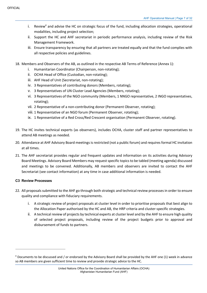- i. Review<sup>4</sup> and advise the HC on strategic focus of the fund, including allocation strategies, operational modalities, including project selection;
- ii. Support the HC and AHF secretariat in periodic performance analysis, including review of the Risk Management Framework.
- iii. Ensure transparency by ensuring that all partners are treated equally and that the fund complies with all respective policies and guidelines.
- 18. Members and Observers of the AB, as outlined in the respective AB Terms of Reference (Annex 1):
	- i. Humanitarian Coordinator (Chairperson, non-rotating);
	- ii. OCHA Head of Office (Custodian, non-rotating);
	- iii. AHF Head of Unit (Secretariat, non-rotating);
	- iv. 3 Representatives of contributing donors (Members, rotating);
	- v. 3 Representatives of UN Cluster Lead Agencies (Members, rotating);
	- vi. 3 Representatives of the NGO community (Members, 1 NNGO representative, 2 INGO representatives, rotating);
	- vii. 2 Representative of a non-contributing donor (Permanent Observer, rotating);
	- viii. 1 Representative of an NGO forum (Permanent Observer, rotating);
	- ix. 1 Representative of a Red Cross/Red Crescent organisation (Permanent Observer, rotating).
- 19. The HC invites technical experts (as observers), includes OCHA, cluster staff and partner representatives to attend AB meetings as needed.
- 20. Attendance at AHF Advisory Board meetings is restricted (not a public forum) and requires formal HC invitation at all times.
- 21. The AHF secretariat provides regular and frequent updates and information on its activities during Advisory Board Meetings. Advisory Board Members may request specific topics to be tabled (meeting agenda) discussed and meetings to be convened. Additionally, AB members and observers are invited to contact the AHF Secretariat (see contact information) at any time in case additional information is needed.

#### **C3 Review Processes**

- 22. All proposals submitted to the AHF go through both strategic and technical review processes in order to ensure quality and compliance with fiduciary requirements.
	- i. A strategic review of project proposals at cluster level in order to prioritise proposals that best align to the Allocation Paper authorised by the HC and AB, the HRP criteria and cluster-specific strategies.
	- ii. A technical review of projects by technical experts at cluster level and by the AHF to ensure high quality of selected project proposals, including review of the project budgets prior to approval and disbursement of funds to partners.

<sup>4</sup> Documents to be discussed and / or endorsed by the Advisory Board shall be provided by the AHF one (1) week in advance so AB members are given sufficient time to review and provide strategic advice to the HC.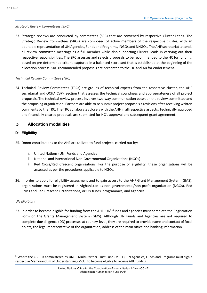#### *Strategic Review Committees (SRC)*

23. Strategic reviews are conducted by committees (SRC) that are convened by respective Cluster Leads. The Strategic Review Committees (SRCs) are composed of active members of the respective cluster, with an equitable representation of UN Agencies, Funds and Programs, INGOs and NNGOs. The AHF secretariat attends all review committee meetings as a full member while also supporting Cluster Leads in carrying out their respective responsibilities. The SRC assesses and selects proposals to be recommended to the HC for funding, based on pre-determined criteria captured in a balanced scorecard that is established at the beginning of the allocation process. SRC recommended proposals are presented to the HC and AB for endorsement.

#### *Technical Review Committees (TRC)*

24. Technical Review Committees (TRCs) are groups of technical experts from the respective cluster, the AHF secretariat and OCHA CBPF Section that assesses the technical soundness and appropriateness of all project proposals. The technical review process involves two-way communication between the review committee and the proposing organization. Partners are able to re-submit project proposals / revisions after receiving written comments by the TRC. The TRC collaborates closely with the AHF in all respective aspects. Technically approved and financially cleared proposals are submitted for HC's approval and subsequent grant agreement.

#### D **Allocation modalities**

#### **D1 Eligibility**

- 25. Donor contributions to the AHF are utilized to fund projects carried out by:
	- i. United Nations (UN) Funds and Agencies
	- ii. National and international Non-Governmental Organizations (NGOs)
	- iii. Red Cross/Red Crescent organisations. For the purpose of eligibility, these organizations will be assessed as per the procedures applicable to NGOs.
- 26. In order to apply for eligibility assessment and to gain access to the AHF Grant Management System (GMS), organizations must be registered in Afghanistan as non-governmental/non-profit organization (NGOs), Red Cross and Red Crescent Organizations, or UN funds, programmes, and agencies.

#### *UN Eligibility*

27. In order to become eligible for funding from the AHF, UN<sup>5</sup> funds and agencies must complete the Registration Form on the Grants Management System (GMS). Although UN Funds and Agencies are not required to complete due diligence (DD) processes at country-level, they are required to provide name and contact of focal points, the legal representative of the organization, address of the main office and banking information.

<sup>5</sup> Where the CBPF is administered by UNDP Multi-Partner Trust Fund (MPTF), UN Agencies, Funds and Programs must sign a respective Memorandum of Understanding (MoU) to become eligible to receive AHF funding.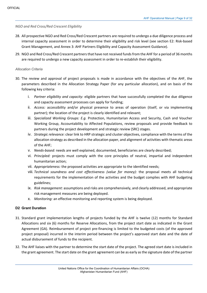*NGO and Red Cross/Red Crescent Eligibility*

- 28. All prospective NGO and Red Cross/Red Crescent partners are required to undergo a due diligence process and internal capacity assessment in order to determine their eligibility and risk level (see section E2: Risk-based Grant Management, and Annex 3: AHF Partners Eligibility and Capacity Assessment Guidance).
- 29. NGO and Red Cross/Red Crescent partners that have not received funds from the AHF for a period of 36 months are required to undergo a new capacity assessment in order to re-establish their eligibility.

#### *Allocation Criteria*

- 30. The review and approval of project proposals is made in accordance with the objectives of the AHF, the parameters described in the Allocation Strategy Paper (for any particular allocation), and on basis of the following key criteria:
	- i. *Partner eligibility and capacity:* eligible partners that have successfully completed the due diligence and capacity assessment processes can apply for funding;
	- ii. *Access:* accessibility and/or physical presence to areas of operation (itself, or via implementing partner); the location of the project is clearly identified and relevant;
	- iii. *Specialized Working Groups: E.g.* Protection, Humanitarian Access and Security, Cash and Voucher Working Group, Accountability to Affected Populations, review proposals and provide feedback to partners during the project development and strategic review (SRC) stages.
	- iv. *Strategic relevance:* clear link to HRP strategic and cluster objectives, compliance with the terms of the allocation strategy as described in the allocation paper, and alignment of activities with thematic areas of the AHF;
	- v. *Needs-based:* needs are well explained, documented, beneficiaries are clearly described;
	- vi. *Principled:* projects must comply with the core principles of neutral, impartial and independent humanitarian action;
	- vii. *Appropriateness:* the proposed activities are appropriate to the identified needs;
	- viii. *Technical soundness and cost effectiveness (value for money):* the proposal meets all technical requirements for the implementation of the activities and the budget complies with AHF budgeting guidelines;
	- ix. *Risk management:* assumptions and risks are comprehensively, and clearly addressed, and appropriate risk management measures are being deployed.
	- x. *Monitoring:* an effective monitoring and reporting system is being deployed.

#### **D2 Grant Duration**

- 31. Standard grant implementation lengths of projects funded by the AHF is twelve (12) months for Standard Allocations and six (6) months for Reserve Allocations, from the project start date as indicated in the Grant Agreement (GA). Reimbursement of project pre-financing is limited to the budgeted costs (of the approved project proposal) incurred in the interim period between the project's approved start date and the date of actual disbursement of funds to the recipient.
- 32. The AHF liaises with the partner to determine the start date of the project. The agreed start date is included in the grant agreement. The start date on the grant agreement can be as early as the signature date of the partner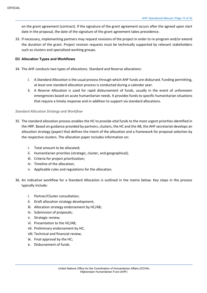on the grant agreement (contract). If the signature of the grant agreement occurs after the agreed upon start date in the proposal, the date of the signature of the grant agreement takes precedence.

33. If necessary, implementing partners may request revisions of the project in order to re-program and/or extend the duration of the grant. Project revision requests must be technically supported by relevant stakeholders such as clusters and specialized working groups.

### **D3 Allocation Types and Workflows**

- 34. The AHF conducts two types of allocations. Standard and Reserve allocations:
	- i. A *Standard Allocation* is the usual process through which AHF funds are disbursed. Funding permitting, at least one standard allocation process is conducted during a calendar year.
	- ii. A *Reserve Allocation* is used for rapid disbursement of funds, usually in the event of unforeseen emergencies based on acute humanitarian needs. It provides funds to specific humanitarian situations that require a timely response and in addition to support via standard allocations.

#### *Standard Allocation Strategy and Workflow*

- 35. The standard allocation process enables the HC to provide vital funds to the most urgent priorities identified in the HRP. Based on guidance provided by partners, clusters, the HC and the AB, the AHF secretariat develops an allocation strategy (paper) that defines the intent of the allocation and a framework for proposal selection by the respective clusters. The allocation paper includes information on:
	- i. Total amount to be allocated;
	- ii. Humanitarian priorities (strategic, cluster, and geographical);
	- iii. Criteria for project prioritization;
	- iv. Timeline of the allocation;
	- v. Applicable rules and regulations for the allocation.
- 36. An indicative workflow for a Standard Allocation is outlined in the matrix below. Key steps in the process typically include:
	- i. Partner/Cluster consultation;
	- ii. Draft allocation strategy development;
	- iii. Allocation strategy endorsement by HC/AB;
	- iv. Submission of proposals;
	- v. Strategic review;
	- vi. Presentation to the HC/AB;
	- vii. Preliminary endorsement by HC;
	- viii. Technical and financial review;
	- ix. Final approval by the HC;
	- x. Disbursement of funds.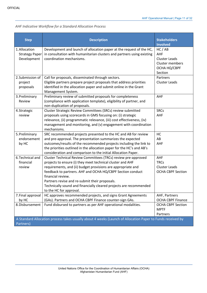# *AHF Indicative Workflow for a Standard Allocation Process*

| <b>Step</b>                                           | <b>Description</b>                                                                                                                                                                                                                                                                                                                                                                                                                 | <b>Stakeholders</b>                                                                |
|-------------------------------------------------------|------------------------------------------------------------------------------------------------------------------------------------------------------------------------------------------------------------------------------------------------------------------------------------------------------------------------------------------------------------------------------------------------------------------------------------|------------------------------------------------------------------------------------|
|                                                       |                                                                                                                                                                                                                                                                                                                                                                                                                                    | <b>Involved</b>                                                                    |
| 1. Allocation<br><b>Strategy Paper</b><br>Development | Development and launch of allocation paper at the request of the HC,<br>in consultation with humanitarian clusters and partners using existing<br>coordination mechanisms.                                                                                                                                                                                                                                                         | HC/AB<br>AHF<br><b>Cluster Leads</b><br>Cluster members<br>ОСНА НО/СВРГ<br>Section |
| 2. Submission of<br>project<br>proposals              | Call for proposals, disseminated through sectors.<br>Eligible partners prepare project proposals that address priorities<br>identified in the allocation paper and submit online in the Grant<br>Management System.                                                                                                                                                                                                                | Partners<br><b>Cluster Leads</b>                                                   |
| 3. Preliminary<br>Review                              | Preliminary review of submitted proposals for completeness<br>(compliance with application template), eligibility of partner, and<br>non-duplication of proposals.                                                                                                                                                                                                                                                                 | AHF                                                                                |
| 4. Strategic<br>review                                | Cluster Strategic Review Committees (SRCs) review submitted<br>proposals using scorecards in GMS focusing on: (i) strategic<br>relevance, (ii) programmatic relevance, (iii) cost effectiveness, (iv)<br>management and monitoring, and (v) engagement with coordination<br>mechanisms.                                                                                                                                            | <b>SRCs</b><br>AHF                                                                 |
| 5. Preliminary<br>endorsement<br>by HC                | SRC recommended projects presented to the HC and AB for review<br>and pre-approval. The presentation summarizes the expected<br>outcomes/results of the recommended projects including the link to<br>the priorities outlined in the allocation paper for the HC's and AB's<br>consideration and comparison to the initial Allocation Paper.                                                                                       | HC<br>AB<br>AHF                                                                    |
| 6. Technical and<br>financial<br>review               | Cluster Technical Review Committees (TRCs) review pre-approved<br>projects to ensure (i) they meet technical cluster and AHF<br>requirements, and (ii) budget provisions are appropriate and<br>feedback to partners. AHF and OCHA HQ/CBPF Section conduct<br>financial review.<br>Partners revise and re-submit their proposals.<br>Technically sound and financially cleared projects are recommended<br>to the HC for approval. | AHF<br><b>TRCs</b><br><b>Cluster Leads</b><br><b>OCHA CBPF Section</b>             |
| 7. Final approval<br>by HC                            | HC approves recommended projects, and signs Grant Agreements<br>(GAs). Partners and OCHA CBPF Finance counter-sign GAs.                                                                                                                                                                                                                                                                                                            | AHF, Partners<br><b>OCHA CBPF Finance</b>                                          |
| 8. Disbursement                                       | Fund disbursed to partners as per AHF operational modalities.                                                                                                                                                                                                                                                                                                                                                                      | <b>OCHA CBPF Section</b><br><b>MPTF</b><br>Partners                                |
| Partners)                                             | A Standard Allocation process takes usually about 4 weeks (Launch of Allocation Paper to Funds received by                                                                                                                                                                                                                                                                                                                         |                                                                                    |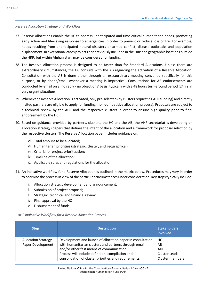#### *Reserve Allocation Strategy and Workflow*

- 37. Reserve Allocations enable the HC to address unanticipated and time-critical humanitarian needs, promoting early action and life-saving response to emergencies in order to prevent or reduce loss of life. For example, needs resulting from unanticipated natural disasters or armed conflict, disease outbreaks and population displacement. In exceptional cases projects not previously included in the HRP and geographic locations outside the HRP, but within Afghanistan, may be considered for funding.
- 38. The Reserve Allocation process is designed to be faster than for Standard Allocations. Unless there are extraordinary circumstances, the HC consults with the AB regarding the activation of a Reserve Allocation. Consultation with the AB is done either through an extraordinary meeting convened specifically for this purpose, or by phone/email whenever a meeting is impractical. Consultations for AB endorsements are conducted by email on a 'no reply - no objections' basis, typically with a 48 hours turn-around period (24hrs in very urgent situations.
- 39. Whenever a Reserve Allocation is activated, only pre-selected (by clusters requesting AHF funding) and directly invited partners are eligible to apply for funding (non-competitive allocation process). Proposals are subject to a technical review by the AHF and the respective clusters in order to ensure high quality prior to final endorsement by the HC.
- 40. Based on guidance provided by partners, clusters, the HC and the AB, the AHF secretariat is developing an allocation strategy (paper) that defines the intent of the allocation and a framework for proposal selection by the respective clusters. The Reserve Allocation paper includes guidance on:
	- vi. Total amount to be allocated;
	- vii. Humanitarian priorities (strategic, cluster, and geographical);
	- viii. Criteria for project prioritization;
	- ix. Timeline of the allocation;
	- x. Applicable rules and regulations for the allocation.
- 41. An indicative workflow for a Reserve Allocation is outlined in the matrix below. Procedures may vary in order to optimise the process in view of the particular circumstances under consideration. Key steps typically include:
	- i. Allocation strategy development and announcement;
	- ii. Submission of project proposal;
	- iii. Strategic, technical and financial review;
	- iv. Final approval by the HC
	- v. Disbursement of funds.

#### *AHF Indicative Workflow for a Reserve Allocation Process*

| <b>Step</b> |                                                 | <b>Description</b>                                                                                                                                               | <b>Stakeholders</b><br><b>Involved</b> |
|-------------|-------------------------------------------------|------------------------------------------------------------------------------------------------------------------------------------------------------------------|----------------------------------------|
|             | <b>Allocation Strategy</b><br>Paper Development | Development and launch of allocation paper in consultation<br>with humanitarian clusters and partners through email<br>and/or other fast means of communication. | НC<br>AB<br><b>AHF</b>                 |
|             |                                                 | Process will include definition, compilation and<br>consolidation of cluster priorities and requirements.                                                        | Cluster Leads<br>Cluster members       |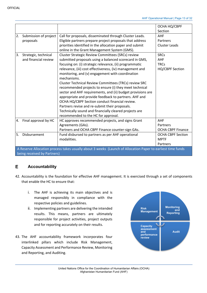|    |                                                                                                                                            |                                                                                                                                                                                                                                                                                                                                                                                                                                                                                                                                                                                                                                                                                                                                                              | OCHA HQ/CBPF<br>Section                                     |  |  |  |  |  |  |
|----|--------------------------------------------------------------------------------------------------------------------------------------------|--------------------------------------------------------------------------------------------------------------------------------------------------------------------------------------------------------------------------------------------------------------------------------------------------------------------------------------------------------------------------------------------------------------------------------------------------------------------------------------------------------------------------------------------------------------------------------------------------------------------------------------------------------------------------------------------------------------------------------------------------------------|-------------------------------------------------------------|--|--|--|--|--|--|
| 2. | Submission of project<br>proposals                                                                                                         | Call for proposals, disseminated through Cluster Leads.<br>Eligible partners prepare project proposals that address<br>priorities identified in the allocation paper and submit<br>online in the Grant Management System (GMS).                                                                                                                                                                                                                                                                                                                                                                                                                                                                                                                              | <b>AHF</b><br>Partners<br><b>Cluster Leads</b>              |  |  |  |  |  |  |
| 3. | Strategic, technical<br>and financial review                                                                                               | Cluster Strategic Review Committees (SRCs) review<br>submitted proposals using a balanced scorecard in GMS,<br>focusing on: (i) strategic relevance, (ii) programmatic<br>relevance, (iii) cost effectiveness, (iv) management and<br>monitoring, and (v) engagement with coordination<br>mechanisms.<br><b>Cluster Technical Review Committees (TRCs) review SRC</b><br>recommended projects to ensure (i) they meet technical<br>sector and AHF requirements, and (ii) budget provisions are<br>appropriate and provide feedback to partners. AHF and<br>OCHA HQ/CBPF Section conduct financial review.<br>Partners revise and re-submit their proposals.<br>Technically sound and financially cleared projects are<br>recommended to the HC for approval. | <b>SRCs</b><br><b>AHF</b><br><b>TRCs</b><br>HQ/CBPF Section |  |  |  |  |  |  |
| 4. | Final approval by HC                                                                                                                       | HC approves recommended projects, and signs Grant<br>Agreements (GAs).<br>Partners and OCHA CBPF Finance counter-sign GAs.                                                                                                                                                                                                                                                                                                                                                                                                                                                                                                                                                                                                                                   | <b>AHF</b><br>Partners<br><b>OCHA CBPF Finance</b>          |  |  |  |  |  |  |
| 5. | Disbursement                                                                                                                               | Fund disbursed to partners as per AHF operational<br>modalities.                                                                                                                                                                                                                                                                                                                                                                                                                                                                                                                                                                                                                                                                                             | <b>OCHA CBPF Section</b><br><b>MPTF</b><br>Partners         |  |  |  |  |  |  |
|    | A Reserve Allocation process takes usually about 3 weeks (Launch of Allocation Paper to earliest time funds<br>being received by Partners) |                                                                                                                                                                                                                                                                                                                                                                                                                                                                                                                                                                                                                                                                                                                                                              |                                                             |  |  |  |  |  |  |

#### E. **Accountability**

- 42. Accountability is the foundation for effective AHF management. It is exercised through a set of components that enable the HC to ensure that:
	- i. The AHF is achieving its main objectives and is managed responsibly in compliance with the respective policies and guidelines.
	- ii. Implementing partners are delivering the intended results. This means, partners are ultimately responsible for project activities, project outputs and for reporting accurately on their results.
- 43. The AHF accountability framework incorporates four interlinked pillars which include Risk Management, Capacity Assessment and Performance Review, Monitoring and Reporting, and Auditing.

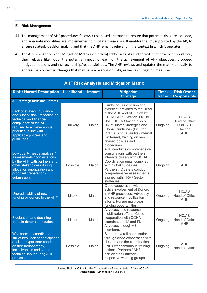#### **E1 Risk Management**

- 44. The management of AHF procedures follows a risk-based approach to ensure that potential risks are assessed, and adequate modalities are implemented to mitigate these risks. It enables the HC, supported by the AB, to ensure strategic decision making and that the AHF remains relevant in the context in which it operates.
- 45. The AHF Risk Analysis and Mitigation Matrix (see below) addresses risks and hazards that have been identified, their relative likelihood, the potential impact of each on the achievement of AHF objectives, proposed mitigation actions and risk ownership/responsibilities. The AHF reviews and updates the matrix annually to address i.e. contextual changes that may have a bearing on risks, as well as mitigation measures.

| <b>AHF Risk Analysis and Mitigation Matrix</b>                                                                                                                                                                    |                                                                            |       |                                                                                                                                                                                                                                                                                                                           |                |                                                                    |  |  |  |  |
|-------------------------------------------------------------------------------------------------------------------------------------------------------------------------------------------------------------------|----------------------------------------------------------------------------|-------|---------------------------------------------------------------------------------------------------------------------------------------------------------------------------------------------------------------------------------------------------------------------------------------------------------------------------|----------------|--------------------------------------------------------------------|--|--|--|--|
| <b>Risk / Hazard Description</b>                                                                                                                                                                                  | <b>Likelihood</b><br><b>Impact</b><br><b>Mitigation</b><br><b>Strategy</b> |       |                                                                                                                                                                                                                                                                                                                           | Time-<br>frame | <b>Risk Owner</b><br><b>Responsible</b>                            |  |  |  |  |
| <b>Strategic Risks and Hazards</b><br>A)                                                                                                                                                                          |                                                                            |       |                                                                                                                                                                                                                                                                                                                           |                |                                                                    |  |  |  |  |
| Lack of strategic guidance<br>and supervision, impacting on<br>technical and financial<br>compliance of the AHF<br>required to achieve annual<br>priorities in-line with<br>applicable policies and<br>guidelines | Unlikely                                                                   | Major | Guidance, supervision and<br>oversight provided to the Head<br>of the AHF and AHF staff by<br>OCHA CBPF Section, OCHA<br>HoO, HC, AB based also on<br>HRP/Cluster Strategies and<br>Global Guidelines (GG) for<br>CBPFs. Annual audits (internal<br>/ external), training on new /<br>revised policies and<br>procedures. | Ongoing        | HC/AB<br>Head of Office<br><b>HQ/CBPF</b><br>Section<br><b>AHF</b> |  |  |  |  |
| Low quality needs analysis /<br>assessments / consultations<br>by the AHF with partners and<br>other stakeholders during<br>allocation prioritization and<br>proposal preparation /<br>submission.                | Possible                                                                   | Major | AHF conducts comprehensive<br>consultations with partners,<br>interacts closely with OCHA<br>Coordination units, complies<br>with global guidelines.<br>Partners / Clusters conduct<br>comprehensive assessments,<br>aligned with HRP / Sector<br>strategies.                                                             | Ongoing        | <b>AHF</b>                                                         |  |  |  |  |
| Unpredictability of new<br>funding by donors to the AHF.                                                                                                                                                          | Likely                                                                     | Major | Close cooperation with and<br>active involvement of Donors<br>in AHF processes. Advocacy<br>and resource mobilization<br>efforts. Pursue multi-year<br>funding opportunities.                                                                                                                                             | Ongoing        | HC/AB<br><b>Head of Office</b><br><b>AHF</b>                       |  |  |  |  |
| <b>Fluctuation and declining</b><br>trend in donor contributions                                                                                                                                                  | Likely                                                                     | Major | Advocacy and resource<br>mobilization efforts, Close<br>cooperation with OCHA<br>coordination, IM and PI.<br>Advocacy though AB<br>members.                                                                                                                                                                               | Ongoing        | HC/AB<br><b>Head of Office</b><br><b>AHF</b>                       |  |  |  |  |
| Weakness in coordination<br>structures, lack of participation<br>of clusters/partners needed to<br>ensure transparency,<br>inclusiveness and sound<br>technical input during AHF<br>processes.                    | Possible                                                                   | Major | Support overall coordination<br>through close cooperation with<br>clusters and the coordination<br>unit. Offer continuous training<br>options. Partners / AHF<br>participates / attends<br>respective working groups and                                                                                                  | Ongoing        | <b>AHF</b><br>Head of Office                                       |  |  |  |  |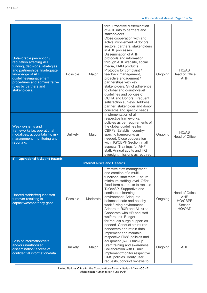|                                                                                                                                                                                                                                                |          |          | fora. Proactive dissemination<br>of AHF info to partners and<br>stakeholders.                                                                                                                                                                                                                                                                                                                                                                                                                                                                                            |         |                                                              |
|------------------------------------------------------------------------------------------------------------------------------------------------------------------------------------------------------------------------------------------------|----------|----------|--------------------------------------------------------------------------------------------------------------------------------------------------------------------------------------------------------------------------------------------------------------------------------------------------------------------------------------------------------------------------------------------------------------------------------------------------------------------------------------------------------------------------------------------------------------------------|---------|--------------------------------------------------------------|
| Unfavorable perception /<br>reputation affecting AHF<br>funding, decisions, strategies<br>and partnerships. Inadequate<br>knowledge of AHF<br>guidelines/management<br>procedures and administrative<br>rules by partners and<br>stakeholders. | Possible | Major    | Close cooperation with and<br>active involvement of donors,<br>sectors, partners, stakeholders<br>in AHF processes.<br>Dissemination of AHF<br>protocols and information<br>through AHF website, social<br>media, PI/IM products.<br>Protocols for complaint /<br>feedback management,<br>proactive engagement /<br>partnerships with key<br>stakeholders. Strict adherence<br>to global and country-level<br>guidelines and policies of<br>OCHA and Donors. Frequent<br>satisfaction surveys. Address<br>partner, stakeholder and donor<br>concerns and specific needs. | Ongoing | HC/AB<br>Head of Office<br><b>AHF</b>                        |
| Weak systems and<br>frameworks i.e. operational<br>modalities, accountability, risk<br>management, monitoring and<br>reporting.                                                                                                                | Unlikely | Major    | Implementation of all<br>respective frameworks,<br>policies as per requirements of<br>the global guidelines for<br>CBPFs. Establish country-<br>specific frameworks as<br>needed. Close cooperation<br>with HQ/CBPF Section in all<br>aspects. Trainings for AHF<br>staff. Annual audits and HQ<br>oversight missions as required.                                                                                                                                                                                                                                       | Ongoing | HC/AB<br>Head of Office                                      |
| <b>Operational Risks and Hazards</b><br>B)                                                                                                                                                                                                     |          |          |                                                                                                                                                                                                                                                                                                                                                                                                                                                                                                                                                                          |         |                                                              |
|                                                                                                                                                                                                                                                |          |          | <b>Internal Risks and Hazards</b>                                                                                                                                                                                                                                                                                                                                                                                                                                                                                                                                        |         |                                                              |
| Unpredictable/frequent staff<br>turnover resulting in<br>capacity/competency gaps.                                                                                                                                                             | Possible | Moderate | Effective staff management<br>and creation of a multi-<br>functional staff team. Ensure<br>minimum staffing level. Offer<br>fixed-term contracts to replace<br>TJO/ASP. Supportive and<br>continuous learning<br>environment. Adequate,<br>balanced, safe and healthy<br>work / living environment.<br>Adhere to R&R and AL rules.<br>Cooperate with HR and staff<br>welfare unit. Budget<br>for/request surge support as<br>needed. Conduct structured<br>handovers and retain data.                                                                                    | Ongoing | Head of Office<br>AHF<br><b>HQ/CBPF</b><br>Section<br>HQ/OAD |
| Loss of information/data<br>and/or unauthorized<br>dissemination/ access of<br>confidential information/data.                                                                                                                                  | Unlikely | Major    | Implement and maintain<br>respective ITMS policies and<br>equipment (RAID backup).<br>Staff training and awareness.<br>Collaboration with IT unit.<br>Implement/monitor respective<br>GMS policies. Verify user<br>requests, conduct reviews to                                                                                                                                                                                                                                                                                                                          | Ongoing | <b>AHF</b>                                                   |

United Nations Office for the Coordination of Humanitarian Affairs (OCHA) Afghanistan Humanitarian Fund (AHF)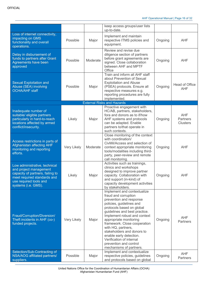AHF Operational Manual | Page 16 of 32

|                                                                                                                                                                             |             |          | keep access groups/user lists<br>up-to-date.                                                                                                                                                                                                                                                                                                                                                                                       |         |                                           |
|-----------------------------------------------------------------------------------------------------------------------------------------------------------------------------|-------------|----------|------------------------------------------------------------------------------------------------------------------------------------------------------------------------------------------------------------------------------------------------------------------------------------------------------------------------------------------------------------------------------------------------------------------------------------|---------|-------------------------------------------|
| Loss of internet connectivity,<br>impacting on GMS<br>functionality and overall<br>operations.                                                                              | Possible    | Major    | Implement and maintain<br>respective ITMS policies and<br>equipment.                                                                                                                                                                                                                                                                                                                                                               | Ongoing | <b>AHF</b>                                |
| Delay in disbursement of<br>funds to partners after Grant<br>Agreements have been<br>approved                                                                               | Possible    | Moderate | Review and revise due<br>diligence section of partners<br>before grant agreements are<br>signed. Close collaboration<br>between AHF and MPTF<br>Office                                                                                                                                                                                                                                                                             | Ongoing | <b>AHF</b>                                |
| <b>Sexual Exploitation and</b><br>Abuse (SEA) involving<br><b>OCHA/AHF</b> staff                                                                                            | Possible    | Major    | Train and inform all AHF staff<br>about Prevention of Sexual<br><b>Exploitation and Abuse</b><br>(PSEA) protocols. Ensure all<br>respective measures e.g.<br>reporting procedures are fully<br>implemented.                                                                                                                                                                                                                        | Ongoing | Head of Office<br><b>AHF</b>              |
|                                                                                                                                                                             |             |          | <b>External Risks and Hazards</b>                                                                                                                                                                                                                                                                                                                                                                                                  |         |                                           |
| Inadequate number of<br>suitable/ eligible partners<br>particularly in hard-to-reach<br>locations affected by armed<br>conflict/insecurity.                                 | Likely      | Major    | Proactive engagement with<br>HC/AB, partners, stakeholders,<br>fora and donors as to if/how<br>AHF systems and protocols<br>can be adapted. Enable<br>partners to/that operate in<br>such contexts.                                                                                                                                                                                                                                | Ongoing | <b>AHF</b><br>Partners<br><b>Clusters</b> |
| Access restrictions in parts of<br>Afghanistan affecting AHF<br>monitoring and reporting<br>efforts.                                                                        | Very Likely | Moderate | Close monitoring of the context<br>with coordination/<br>CivMil/Access and selection of<br>context appropriate monitoring<br>tools/modalities including third-<br>party, peer-review and remote<br>call monitoring.                                                                                                                                                                                                                | Ongoing | <b>AHF</b>                                |
| Low administrative, technical<br>and project management<br>capacity of partners, failing to<br>meet required standards and<br>use required tools and<br>systems (i.e. GMS). | Likely      | Major    | Activities such as trainings,<br>clinics and workshops<br>designed to improve partner<br>capacity. Collaboration with<br>and support (in-kind) of<br>capacity development activities<br>by stakeholders.                                                                                                                                                                                                                           | Ongoing | <b>AHF</b>                                |
| Fraud/Corruption/Diversion/<br>Theft incidents in AHF (co-)<br>funded projects.                                                                                             | Very Likely | Major    | Implement and contextualize<br>fraud and corruption<br>prevention and response<br>policies, guidelines and<br>protocols based on global<br>guidelines and best practice.<br>Implement robust and context<br>appropriate monitoring<br>framework. Close cooperation<br>with HQ, partners,<br>stakeholders and donors to<br>enable early detection.<br>Verification of internal<br>prevention and control<br>mechanisms of partners. | Ongoing | <b>AHF</b><br><b>Partners</b>             |
| Selection/Sub-Contracting of<br>NSA/AOG affiliated partners/<br>suppliers.                                                                                                  | Possible    | Major    | Implement and contextualize<br>respective policies, guidelines<br>and protocols based on global                                                                                                                                                                                                                                                                                                                                    | Ongoing | AHF<br>Partners                           |

United Nations Office for the Coordination of Humanitarian Affairs (OCHA) Afghanistan Humanitarian Fund (AHF)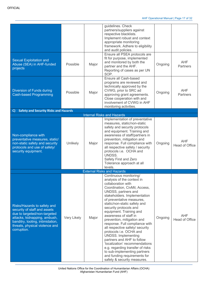| Sexual Exploitation and<br>Abuse (SEA) in AHF-funded<br>projects                                                                                                                                                 | Possible    | Major | guidelines. Check<br>partners/suppliers against<br>respective blacklists.<br>Implement robust and context<br>appropriate monitoring<br>framework. Adhere to eligibility<br>and audit policies.<br>Ensure all PSEA protocols are<br>fit for purpose, implemented<br>and monitored by both the<br>partner and the AHF.                                                                                                                                                                                                                                                                                                                                                         | Ongoing | <b>AHF</b><br>Partners       |
|------------------------------------------------------------------------------------------------------------------------------------------------------------------------------------------------------------------|-------------|-------|------------------------------------------------------------------------------------------------------------------------------------------------------------------------------------------------------------------------------------------------------------------------------------------------------------------------------------------------------------------------------------------------------------------------------------------------------------------------------------------------------------------------------------------------------------------------------------------------------------------------------------------------------------------------------|---------|------------------------------|
|                                                                                                                                                                                                                  |             |       | Reporting of cases as per UN<br>SOP.                                                                                                                                                                                                                                                                                                                                                                                                                                                                                                                                                                                                                                         |         |                              |
| <b>Diversion of Funds during</b><br><b>Cash-based Programming</b>                                                                                                                                                | Possible    |       | Ensure all Cash-based<br>programs are reviewed and<br>technically approved by the<br>CVWG, prior to SRC ad<br>Major<br>Ongoing<br>approving grant agreements.<br>Close cooperation with and<br>involvement of CVWG in AHF<br>monitoring activities.                                                                                                                                                                                                                                                                                                                                                                                                                          |         | <b>AHF</b><br>Partners       |
| <b>Safety and Security Risks and Hazards</b><br>$\mathbf{C}$                                                                                                                                                     |             |       |                                                                                                                                                                                                                                                                                                                                                                                                                                                                                                                                                                                                                                                                              |         |                              |
|                                                                                                                                                                                                                  |             |       | <b>Internal Risks and Hazards</b>                                                                                                                                                                                                                                                                                                                                                                                                                                                                                                                                                                                                                                            |         |                              |
| Non-compliance with<br>preventative measures, static/<br>non-static safety and security<br>protocols and use of safety/<br>security equipment.                                                                   | Unlikely    | Major | Implementation of preventative<br>measures, static/non-static<br>safety and security protocols<br>and equipment. Training and<br>awareness of staff/partners in<br>prevention, mitigation and<br>response. Full compliance with<br>all respective safety / security<br>protocols i.e. OCHA and<br>UNDSS.<br>Safety First and Zero<br>Tolerance approach at all<br>levels.                                                                                                                                                                                                                                                                                                    | Ongoing | <b>AHF</b><br>Head of Office |
|                                                                                                                                                                                                                  |             |       | <b>External Risks and Hazards</b>                                                                                                                                                                                                                                                                                                                                                                                                                                                                                                                                                                                                                                            |         |                              |
| Risks/Hazards to safety and<br>security of staff and assets<br>due to targeted/non-targeted<br>attacks, kidnapping, ambush,<br>banditry, looting, intimidation,<br>threats, physical violence and<br>corruption. | Very Likely | Major | Continuous monitoring/<br>analysis of the context in<br>collaboration with<br>Coordination, CivMil, Access,<br>UNDSS, partners and<br>stakeholders. Implementation<br>of preventative measures,<br>static/non-static safety and<br>security protocols and<br>equipment. Training and<br>awareness of staff in<br>prevention, mitigation and<br>response. Full compliance with<br>all respective safety/ security<br>protocols i.e. OCHA and<br><b>UNDSS.</b> Implementing<br>partners and AHF to follow<br>'localization' recommendations<br>e.g. regarding transfer of risks<br>to sub-implementing partners<br>and funding requirements for<br>safety & security measures. | Ongoing | <b>AHF</b><br>Head of Office |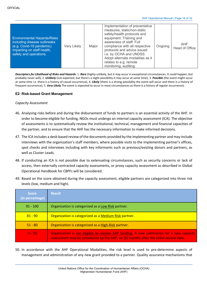| <b>Environmental Hazards/Risks</b>                                                                              |             |       | Implementation of preventative<br>measures, static/non-static<br>safety/health protocols and<br>equipment. Training and                                                                                     |         |                       |
|-----------------------------------------------------------------------------------------------------------------|-------------|-------|-------------------------------------------------------------------------------------------------------------------------------------------------------------------------------------------------------------|---------|-----------------------|
| including disease outbreaks<br>(e.g. Covid-19 pandemic)<br>impacting on staff health,<br>safety and operations. | Very Likely | Major | awareness of staff. Full<br>compliance with all respective<br>protocols and advice issued<br>i.e. by OCHA and UNDSS.<br>Adopt alternate modalities as it<br>relates to e.g. remote<br>monitoring, auditing. | Ongoing | AHF<br>Head of Office |

*Descriptors for Likelihood of Risks and Hazards*: 1. *Rare* (highly unlikely, but it may occur in exceptional circumstances. It could happen, but probably never will), 2. *Unlikely* (not expected, but there's a slight possibility it may occur at some time), 3. *Possible* (the event might occur at some time i.e. there is a history of casual occurrence), 4. *Likely* (there is a strong possibility the event will occur and there is a history of frequent occurrence), 5. *Very Likely* The event is expected to occur in most circumstances as there is a history of regular occurrence).

#### **E2 Risk-based Grant Management**

#### *Capacity Assessment*

- 46. Analysing risks before and during the disbursement of funds to partners is an essential activity of the AHF. In order to become eligible for funding, NGOs must undergo an internal capacity assessment (ICA). The objective of assessments is to systematically review the institutional, technical, management and financial capacities of the partner, and to ensure that the AHF has the necessary information to make informed decisions.
- 47. The ICA includes a desk-based review of the documents provided by the implementing partner and may include interviews with the organization's staff members, where possible visits to the implementing partner's offices, spot checks and interviews including with key informants such as previous/existing donors and partners, as well as Cluster Leads.
- 48. If conducting an ICA is not possible due to extenuating circumstances, such as security concerns or lack of access, then externally contracted capacity assessments, or proxy capacity assessment as described in Global Operational Handbook for CBPFs will be considered.
- 49. Based on the score obtained during the capacity assessment, eligible partners are categorized into three risk levels (low, medium and high).

| <b>Score</b><br>(in percentage) | <b>Result</b>                                                                                                                                                                      |
|---------------------------------|------------------------------------------------------------------------------------------------------------------------------------------------------------------------------------|
| $91 - 100$                      | Organization is categorized as a Low Risk partner.                                                                                                                                 |
| $81 - 90$                       | Organization is categorized as a Medium Risk partner.                                                                                                                              |
| $51 - 80$                       | Organization is categorized as a High-Risk partner.                                                                                                                                |
| $0 - 50$                        | Organization is not eligible to receive AHF funding. A new submission for a new capacity<br>assessment may be considered by the AHF, six (6) months after the initial review date. |

50. In accordance with the AHF Operational Modalities, the risk level is used to pre-determine aspects of management and administration of any new grant provided to a partner. Quality assurance mechanisms that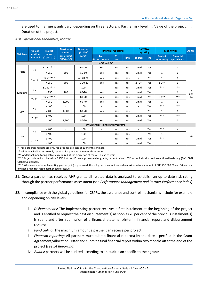are used to manage grants vary, depending on three factors: i. Partner risk level, ii., Value of the project, iii., Duration of the project.

#### *AHF Operational Modalities, Matrix*

|                   | Project                                                                      | Project             | <b>Maximum</b><br>amount  | Disburse.<br>(in % of |                                        | <b>Financial reporting</b> |              | <b>Narrative</b><br>reporting |       |                       | <b>Monitoring</b>              | <b>Audit</b> |
|-------------------|------------------------------------------------------------------------------|---------------------|---------------------------|-----------------------|----------------------------------------|----------------------------|--------------|-------------------------------|-------|-----------------------|--------------------------------|--------------|
| <b>Risk level</b> | duration<br>(months)                                                         | value<br>('000 USD) | per project<br>('000 USD) | total)                | For<br>disbursements                   | $31 -$<br>Jan              | <b>Final</b> | <b>Progress</b>               | Final | Project<br>monitoring | <b>Financial</b><br>spot-check |              |
|                   |                                                                              |                     |                           |                       | <b>NGO and RC</b>                      |                            |              |                               |       |                       |                                |              |
|                   |                                                                              | $\leq 250***$       | $\blacksquare$            | 60-40                 | Yes                                    | Yes                        | Yes          | 1 mid                         | Yes   | $\mathbf{1}$          | $\mathbf{1}$                   |              |
| High              | < 7                                                                          | > 250               | 500                       | $50 - 50$             | Yes                                    | Yes                        | Yes          | 1 mid                         | Yes   | $\mathbf{1}$          | $\mathbf{1}$                   |              |
|                   | $7 - 12$                                                                     | $\leq 250***$       | $\overline{\phantom{0}}$  | 40-40-20              | Yes                                    | Yes                        | Yes          | $\overline{2}$                | Yes   | $\mathbf{1}$          | $\mathbf{1}$                   |              |
|                   |                                                                              | > 250               | 800                       | 40-30-30              | Yes                                    | Yes                        | Yes          | $2 - 3*$                      | Yes   | $1 - 2$ **            | $\mathbf{1}$                   |              |
|                   |                                                                              | $\leq 250***$       | $\blacksquare$            | 100                   |                                        | Yes                        | Yes          | 1 mid                         | Yes   | $***$                 | $***$                          |              |
| Medium            | < 7                                                                          | > 250               | 700                       | 80-20                 | Yes                                    | Yes                        | Yes          | 1 mid                         | Yes   | 1                     | 1                              | As<br>per    |
|                   | $7 - 12$                                                                     | $\leq 250***$       | $\overline{\phantom{0}}$  | 80-20                 | Yes                                    | Yes                        | Yes          | 1 mid                         | Yes   | $0 - 1$ **            | $***$                          | plan         |
|                   |                                                                              | > 250               | 1,000                     | 60-40                 | Yes                                    | Yes                        | Yes          | 1 mid                         | Yes   | $\mathbf{1}$          | $\mathbf{1}$                   |              |
|                   |                                                                              | $\leq 400$          | $\sim$                    | 100                   | $\sim$                                 | Yes                        | Yes          | $\blacksquare$                | Yes   | $***$                 | $***$                          |              |
| Low               | < 7                                                                          | >400                | 1,500                     | 80-20                 | Yes                                    | Yes                        | Yes          | $\blacksquare$                | Yes   | $\mathbf{1}$          | $\mathbf{1}$                   |              |
|                   |                                                                              | $\leq 400$          | ÷                         | 100                   |                                        | Yes                        | Yes          | 1 mid                         | Yes   | $***$                 | $***$                          |              |
|                   | $7 - 12$                                                                     | >400                | 1,500                     | 80-20                 | Yes                                    | Yes                        | Yes          | 1 mid                         | Yes   | 1                     | $\mathbf{1}$                   |              |
|                   |                                                                              |                     |                           |                       | <b>UN Agencies, Funds and Programs</b> |                            |              |                               |       |                       |                                |              |
|                   | < 7                                                                          | $\leq 400$          | $\sim$                    | 100                   |                                        | Yes                        | Yes          | $\blacksquare$                | Yes   | $***$                 | ÷                              |              |
|                   |                                                                              | >400                | $\blacksquare$            | 100                   | $\overline{\phantom{a}}$               | Yes                        | Yes          | $\blacksquare$                | Yes   | $\mathbf{1}$          | $\blacksquare$                 | <b>No</b>    |
| Low               |                                                                              | $\leq 400$          | $\blacksquare$            | 100                   | $\overline{\phantom{a}}$               | Yes                        | Yes          | 1 mid                         | Yes   | $***$                 | $\overline{a}$                 |              |
|                   | $7 - 12$                                                                     | >400                | ÷.                        | 100                   |                                        | Yes                        | Yes          | 1 mid                         | Yes   | $\mathbf{1}$          | $\overline{\phantom{a}}$       |              |
|                   | * Three programs reports are only required for projects of 10 months or more |                     |                           |                       |                                        |                            |              |                               |       |                       |                                |              |

hree progress reports are only required for projects of 10 months or more.

\*\* Additional field visits are only required for projects of 10 months or more.

\*\*\* Additional monitoring activities required at the discretion of the AHF Head of Unit.

\*\*\*\* Projects should not be below 250K, but the HC can approve smaller grants, but not below 100K, on an individual and exceptional basis only (Ref.: CBPF Global Guidelines).

\*\*\*\* Whenever a sub-implementing partner(ship) is proposed, the sub-grant must not exceed a maximum total amount of \$US 250,000.00 and 50 per cent of what a high risk rated partner could receive.

- 51. Once a partner has received AHF grants, all related data is analysed to establish an up-to-date risk rating through the partner performance assessment (see *Performance Management and Partner Performance Index*)
- 52. In compliance with the global guidelines for CBPFs, the assurance and control mechanisms include for example and depending on risk levels:
	- i. *Disbursements*: The implementing partner receives a first instalment at the beginning of the project and is entitled to request the next disbursement(s) as soon as 70 per cent of the previous instalment(s) is spent and after submission of a financial statement/interim financial report and disbursement request
	- ii. *Fund ceiling*: The maximum amount a partner can receive per project.
	- iii. *Financial reporting*: All partners must submit financial report(s) by the dates specified in the Grant Agreement/Allocation Letter and submit a final financial report within two months after the end of the project (see *E4 Reporting*).
	- iv. *Audits*: partners will be audited according to an audit plan specific to their grants.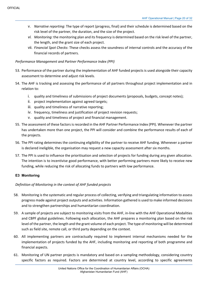- v. *Narrative reporting*: The type of report (progress, final) and their schedule is determined based on the risk level of the partner, the duration, and the size of the project.
- *vi. Monitoring:* the monitoring plan and its frequency is determined based on the risk level of the partner, the length, and the grant size of each project.
- vii. *Financial Spot Checks*: These checks assess the soundness of internal controls and the accuracy of the financial records of partners.

# *Performance Management and Partner Performance Index (PPI)*

- 53. Performance of the partner during the implementation of AHF funded projects is used alongside their capacity assessment to determine and adjust risk levels.
- 54. The AHF is tracking and assessing the performance of all partners throughout project implementation and in relation to:
	- i. quality and timeliness of submissions of project documents (proposals, budgets, concept notes);
	- ii. project implementation against agreed targets;
	- iii. quality and timeliness of narrative reporting;
	- iv. frequency, timeliness and justification of project revision requests;
	- v. quality and timeliness of project and financial management.
- 55. The assessment of these factors is recorded in the AHF Partner Performance Index (PPI). Whenever the partner has undertaken more than one project, the PPI will consider and combine the performance results of each of the projects.
- 56. The PPI rating determines the continuing eligibility of the partner to receive AHF funding. Whenever a partner is declared ineligible, the organisation may request a new capacity assessment after six months.
- 57. The PPI is used to influence the prioritisation and selection of projects for funding during any given allocation. The intention is to incentivise good performance, with better performing partners more likely to receive new funding, while reducing the risk of allocating funds to partners with low performance.

#### **E3 Monitoring**

#### *Definition of Monitoring in the context of AHF funded projects*

- 58. Monitoring is the systematic and regular process of collecting, verifying and triangulating information to assess progress made against project outputs and activities. Information gathered is used to make informed decisions and to strengthen partnerships and humanitarian coordination.
- 59. A sample of projects are subject to monitoring visits from the AHF, in-line with the AHF Operational Modalities and CBPF global guidelines. Following each allocation, the AHF prepares a monitoring plan based on the risk level of the partner, the length and the grant volume of each project. The type of monitoring will be determined such as field site, remote call, or third party depending on the context.
- 60. All implementing partners are contractually required to implement internal mechanisms needed for the implementation of projects funded by the AHF, including monitoring and reporting of both programme and financial aspects.
- 61. Monitoring of UN partner projects is mandatory and based on a sampling methodology, considering country specific factors as required. Factors are determined at country level, according to specific agreements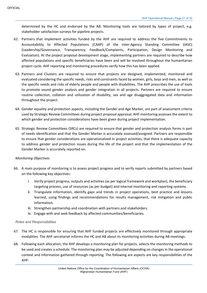determined by the HC and endorsed by the AB. Monitoring tools are tailored by types of project, e.g. stakeholder satisfaction surveys for pipeline projects.

- 62. Partners that implement activities funded by the AHF are required to address the five Commitments to Accountability to Affected Populations (CAAP) of the Inter-Agency Standing Committee (IASC) (Leadership/Governance, Transparency, Feedback/Complaints, Participation, Design Monitoring and Evaluation). At the project proposal development stage, implementing partners are required to describe how affected populations and specific beneficiaries have been and will be involved throughout the humanitarian project cycle. AHF reporting and monitoring procedures verify how this has been applied.
- 63. Partners and Clusters are required to ensure that projects are designed, implemented, monitored and evaluated considering the specific needs, risks and constraints faced by women, girls, boys and men, as well as the specific needs and risks of elderly people and people with disabilities. The AHF prescribes the use of tools to promote sound gender analysis and gender integration in all projects. Partners are required to ensure routine collection, collation and utilization of disability, sex and age disaggregated data and information throughout the project.
- 64. Gender equality and protection aspects, including the Gender and Age Marker, are part of assessment criteria used by Strategic Review Committees during project proposal appraisal. AHF monitoring assesses the extent to which gender and protection considerations have been given during project implementation.
- 65. Strategic Review Committees (SRCs) are required to ensure that gender and protection analysis forms is part of needs identification and that the Gender Marker is accurately assessed/assigned. Partners are responsible to ensure that gender considerations are operationalized in project activities, that there is adequate capacity to address gender and protection issues during the life of the project and that the implementation of the Gender Marker is accurately reported on.

#### *Monitoring Objectives*

- 66. A main purpose of monitoring is to assess project progress and to verify reports submitted by partners based on the following key objectives:
	- i. Verify project progress, outputs and activities (as per logical framework and workplan), the beneficiary targeting process, use of resources (as per budget) and internal monitoring and reporting systems.
	- ii. Triangulate information, identify gaps and trends in project operations, best practice and lessons learned, using findings and recommendations for results management, risk mitigation and public information.
	- iii. Strengthen partnership and coordination with partners and stakeholders.
	- iv. Engage with and seek feedback by affected communities/beneficiaries.

#### *Roles and Responsibilities*

- 67. The HC is responsible for ensuring that AHF funded projects are effectively monitored through appropriate modalities. The AHF secretariat informs the HC and AB about its monitoring activities during AB meetings.
- 68. Following each allocation, the AHF develops a monitoring plan for projects, selects the monitoring methods to be used and creates a schedule. The monitoring plan may be adjusted depending on changes in the operational context and information gathered through reporting. The following are aspects are key responsibilities of the AHF: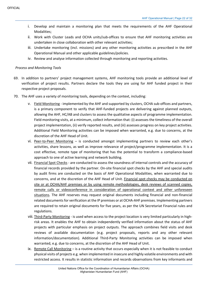- i. Develop and maintain a monitoring plan that meets the requirements of the AHF Operational Modalities;
- ii. Work with Cluster Leads and OCHA units/sub-offices to ensure that AHF monitoring activities are undertaken in close collaboration with other relevant activities;
- iii. Undertake monitoring (incl. missions) and any other monitoring activities as prescribed in the AHF Operational Manual and other applicable guidelines/policies.
- iv. Review and analyse information collected through monitoring and reporting activities.

#### *Process and Monitoring Tools*

- 69. In addition to partners' project management systems, AHF monitoring tools provide an additional level of verification of project results. Partners declare the tools they are using for AHF funded project in their respective project proposals.
- 70. The AHF uses a variety of monitoring tools, depending on the context, including:
	- v. Field Monitoring implemented by the AHF and supported by clusters, OCHA sub-offices and partners, is a primary component to verify that AHF-funded projects are delivering against planned outputs, allowing the AHF, HC/AB and clusters to assess the qualitative aspects of programme implementation. Field monitoring visits, at a minimum, collect information that: (i) assesses the timeliness of the overall project implementation, (ii) verify reported results, and (iii) assesses progress on key project activities. Additional Field Monitoring activities can be imposed when warranted, e.g. due to concerns, at the discretion of the AHF Head of Unit.
	- vi. Peer-to-Peer Monitoring is conducted amongst implementing partners to review each other's activities, share lessons, as well as improve relevance of project/programme implementation. It is a cost effective, remote type of monitoring that has the potential to transform a compliance-based approach to one of active learning and network building.
	- vii. Financial Spot Checks are conducted to assess the soundness of internal controls and the accuracy of financial records provided by the partner. On-site financial spot checks by the AHF and special audits by audit firms are conducted on the basis of AHF Operational Modalities, when warranted due to concerns, and at the discretion of the AHF Head of Unit. Financial spot checks may be conducted on site or at OCHA/AHF premises or by using remote methodologies, desk reviews of scanned copies, remote calls or videoconference in consideration of operational context and other unforeseen situations. The AHF reserves may request original documents including financial and non-financial related documents for verification at the IP premises or at OCHA-AHF premises. Implementing partners are required to retain original documents for five years, as per the UN Secretariat Financial rules and regulations.
	- viii. Third-Party Monitoring is used when access to the project location is very limited particularly in highrisk areas. It enables the AHF to obtain independently verified information about the status of AHF projects with particular emphasis on project outputs. The approach combines field visits and desk reviews of available documentation (e.g. project proposals, reports and any other relevant information/documentation). Additional Third-Party Monitoring activities can be imposed when warranted, e.g. due to concerns, at the discretion of the AHF Head of Unit.
	- ix. Remote Call Monitoring is a routine activity that occurs especially when it is not feasible to conduct physical visits of projects e.g. when implemented in insecure and highly volatile environments and with restricted access. It results in statistic information and records observations from key informants and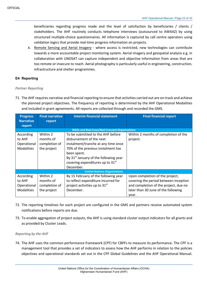beneficiaries regarding progress made and the level of satisfaction by beneficiaries / clients / stakeholders. The AHF routinely conducts telephone interviews (outsourced to AWAAZ) by using structured multiple-choice questionnaires. All information is captured by call centre operators using validation logics that provide real-time progress information on projects.

x. Remote Sensing and Aerial Imagery - where access is restricted, new technologies can contribute towards a more accountable project monitoring system. Aerial imagery and geospatial analysis e.g. in collaboration with UNOSAT can capture independent and objective information from areas that are too remote or insecure to reach. Aerial photography is particularly useful in engineering, construction, infrastructure and shelter programmes.

# **E4 Reporting**

#### *Partner Reporting*

71. The AHF requires narrative and financial reporting to ensure that activities carried out are on-track and achieve the planned project objectives. The frequency of reporting is determined by the AHF Operational Modalities and included in grant agreements. All reports are collected through and recorded the GMS.

| <b>Progress</b>                                      | <b>Final narrative</b> | <b>Interim financial statement</b>                | <b>Final financial report</b>         |
|------------------------------------------------------|------------------------|---------------------------------------------------|---------------------------------------|
| <b>Narrative</b>                                     | report                 |                                                   |                                       |
| report                                               |                        |                                                   |                                       |
| <b>NGOs and Red Cross/Red Crescent Organisations</b> |                        |                                                   |                                       |
| According                                            | Within 2               | To be submitted to the AHF before                 | Within 2 months of completion of the  |
| to AHF                                               | months of              | disbursement of the next                          | project.                              |
| Operational                                          | completion of          | instalment/tranche at any time once               |                                       |
| <b>Modalities</b>                                    | the project            | 70% of the previous instalment has                |                                       |
|                                                      |                        | been spent.                                       |                                       |
|                                                      |                        | By 31 <sup>st</sup> January of the following year |                                       |
|                                                      |                        | covering expenditures up to 31 <sup>st</sup>      |                                       |
|                                                      |                        | December.                                         |                                       |
| <b>United Nations Organisations</b>                  |                        |                                                   |                                       |
| According                                            | Within 2               | By 15 February of the following year              | Upon completion of the project,       |
| to AHF                                               | months of              | to reflect expenditure incurred for               | covering the period between inception |
| Operational                                          | completion of          | project activities up to 31 <sup>st</sup>         | and completion of the project, due no |
| <b>Modalities</b>                                    | the project            | December.                                         | later than 30 June of the following   |
|                                                      |                        |                                                   | year.                                 |

- 72. The reporting timelines for each project are configured in the GMS and partners receive automated system notifications before reports are due.
- 73. To enable aggregation of project outputs, the AHF is using standard cluster output indicators for all grants and as provided by Cluster Leads.

#### *Reporting by the AHF*

74. The AHF uses the common performance framework (CPF) for CBPFs to measure its performance. The CPF is a management tool that provides a set of indicators to assess how the AHF performs in relation to the policies objectives and operational standards set out in the CPF Global Guidelines and the AHF Operational Manual.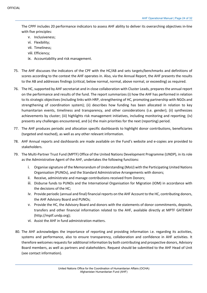The CPPF includes 20 performance indicators to assess AHF ability to deliver its overarching objectives in-line with five principles:

- v. Inclusiveness;
- vi. Flexibility;
- vii. Timeliness;
- viii. Efficiency;
- ix. Accountability and risk management.
- 75. The AHF discusses the indicators of the CPF with the HC/AB and sets targets/benchmarks and definitions of scores according to the context the AHF operates in. Also, via the Annual Report, the AHF presents the results to the AB and addresses findings (critical, below normal, normal, above normal, or exceeding) as required.
- 76. The HC, supported by AHF secretariat and in close collaboration with Cluster Leads, prepares the annual report on the performance and results of the fund. The report summarizes (i) how the AHF has performed in relation to its strategic objectives (including links with HRP, strengthening of HC, promoting partnership with NGOs and strengthening of coordination system); (ii) describes how funding has been allocated in relation to key humanitarian events, timeliness and transparency, and other considerations (i.e. gender); (ii) synthesizes achievements by cluster; (iii) highlights risk management initiatives, including monitoring and reporting; (iv) presents any challenges encountered, and (v) the main priorities for the next (reporting) period.
- 77. The AHF produces periodic and allocation specific dashboards to highlight donor contributions, beneficiaries (targeted and reached), as well as any other relevant information.
- 78. AHF Annual reports and dashboards are made available on the Fund's website and e-copies are provided to stakeholders.
- 79. The Multi-Partner Trust Fund (MPTF) Office of the United Nations Development Programme (UNDP), in its role as the Administrative Agent of the AHF, undertakes the following functions:
	- i. Organise signature of the Memorandum of Understanding (MoU) with the Participating United Nations Organisation (PUNOs), and the Standard Administrative Arrangements with donors;
	- ii. Receive, administrate and manage contributions received from Donors;
	- iii. Disburse funds to PUNOs and the International Organisation for Migration (IOM) in accordance with the decisions of the HC;
	- iv. Provide periodic (annual and final) financial reports on the AHF Account to the HC, contributing donors, the AHF Advisory Board and PUNOs;
	- v. Provide the HC, the Advisory Board and donors with the statements of donor commitments, deposits, transfers and other financial information related to the AHF, available directly at MPTF GATEWAY (http://mptf.undp.org);
	- vi. Assist the AHF in fund administration matters.
- 80. The AHF acknowledges the importance of reporting and providing information i.e. regarding its activities, systems and performance, also to ensure transparency, collaboration and confidence in AHF activities. It therefore welcomes requests for additional information by both contributing and prospective donors, Advisory Board members, as well as partners and stakeholders. Request should be submitted to the AHF Head of Unit (see contact information).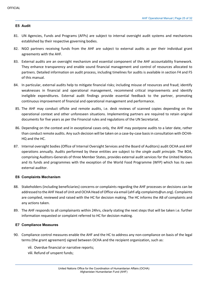#### **E5 Audit**

- 81. UN Agencies, Funds and Programs (AFPs) are subject to internal oversight audit systems and mechanisms established by their respective governing bodies.
- 82. NGO partners receiving funds from the AHF are subject to external audits as per their individual grant agreements with the AHF.
- 83. External audits are an oversight mechanism and essential component of the AHF accountability framework. They enhance transparency and enable sound financial management and control of resources allocated to partners. Detailed information on audit process, including timelines for audits is available in section F4 and F5 of this manual.
- 84. In particular, external audits help to mitigate financial risks; including misuse of resources and fraud; identify weaknesses in financial and operational management, recommend critical improvements and identify ineligible expenditures. External audit findings provide essential feedback to the partner, promoting continuous improvement of financial and operational management and performance.
- 85. The AHF may conduct offsite and remote audits, i.e. desk reviews of scanned copies depending on the operational context and other unforeseen situations. Implementing partners are required to retain original documents for five years as per the Financial rules and regulations of the UN Secretariat.
- 86. Depending on the context and in exceptional cases only, the AHF may postpone audits to a later date, rather than conduct remote audits. Any such decision will be taken on a case-by-case basis in consultation with OCHA-HQ and the HC.
- 87. Internal oversight bodies (Office of Internal Oversight Services and the Board of Auditors) audit OCHA and AHF operations annually. Audits performed by these entities are subject to the *single audit principle*. The BOA, comprising Auditors-Generals of three Member States, provides external audit services for the United Nations and its funds and programmes with the exception of the World Food Programme (WFP) which has its own external auditor.

#### **E6 Complaints Mechanism**

- 88. Stakeholders (including beneficiaries) concerns or complaints regarding the AHF processes or decisions can be addressed to the AHF Head of Unit and OCHA Head of Office via email (ahf-afg-complaints@un.org). Complaints are compiled, reviewed and raised with the HC for decision making. The HC informs the AB of complaints and any actions taken.
- 89. The AHF responds to all complainants within 24hrs, clearly stating the next steps that will be taken i.e. further information requested or complaint referred to HC for decision making.

#### **E7 Compliance Measures**

- 90. Compliance control measures enable the AHF and the HC to address any non-compliance on basis of the legal terms (the grant agreement) signed between OCHA and the recipient organization, such as:
	- vii. Overdue financial or narrative reports; viii. Refund of unspent funds;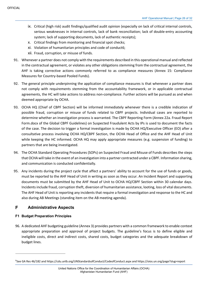- ix. Critical (high risk) audit findings/qualified audit opinion (especially on lack of critical internal controls, serious weaknesses in internal controls, lack of bank reconciliation; lack of double-entry accounting system; lack of supporting documents, lack of authentic receipts);
- x. Critical findings from monitoring and financial spot checks;
- xi. Violation of humanitarian principles and code of conduct6;
- xii. Fraud, corruption, or misuse of funds.
- 91. Whenever a partner does not comply with the requirements described in this operational manual and reflected in the contractual agreement, or violates any other obligations stemming from the contractual agreement, the AHF is taking corrective actions commonly referred to as compliance measures (Annex 15: Compliance Measures for Country-based Pooled Funds).
- 92. The general principle underpinning the application of compliance measures is that whenever a partner does not comply with requirements stemming from the accountability framework, or in applicable contractual agreements, the HC will take actions to address non-compliance. Further actions will be pursued as and when deemed appropriate by OCHA.
- 93. OCHA HQ (Chief of CBPF Section) will be informed immediately whenever there is a credible indication of possible fraud, corruption or misuse of funds related to CBPF projects. Individual cases are reported to determine whether an investigation process is warranted. The CBPF Reporting Form (Annex 22a. Fraud Report Form.docx of the Global CBPF Guidelines) on Suspected Fraudulent Acts by IPs is used to document the facts of the case. The decision to trigger a formal investigation is made by OCHA HQ/Executive Officer (EO) after a consultative process involving OCHA HQ/CBPF Section, the OCHA Head of Office and the AHF Head of Unit while keeping the HC informed. OCHA HQ may apply appropriate measures (e.g. suspension of funding) to partners that are being investigated.
- 94. The OCHA Standard Operating Procedures (SOPs) on Suspected Fraud and Misuse of Funds describes the steps that OCHA will take in the event of an investigation into a partner contracted under a CBPF. Information sharing, and communication is conducted confidentially.
- 95. Any incidents during the project cycle that affect a partners' ability to account for the use of funds or goods, must be reported to the AHF Head of Unit in writing as soon as they occur. An Incident Report and supporting documents must be submitted by the AHF Head of Unit to OCHA HQ/CBPF Section within 30 calendar days. Incidents include fraud, corruption theft, diversion of humanitarian assistance, looting, loss of vital documents. The AHF Head of Unit is reporting any incidents that require a formal investigation and response to the HC and also during AB Meetings (standing item on the AB meeting agenda).

#### F **Administrative Aspects**

#### **F1 Budget Preparation Principles**

96. A dedicated AHF budgeting guideline (Annex 3) provides partners with a common framework to enable context appropriate preparation and approval of project budgets. The guideline's focus is to define eligible and ineligible costs, direct and indirect costs, shared costs, budget categories and the adequate breakdown of budget lines.

<sup>&</sup>lt;sup>6</sup>See GA Res 46/182 and https://cdu.unlb.org/UNStandardsofConduct/CodeofConduct.aspx and https://oios.un.org/page?slug=report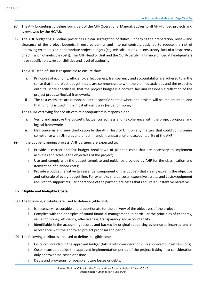- 97. The AHF budgeting guideline forms part of the AHF Operational Manual, applies to all AHF-funded projects and is reviewed by the HC/AB.
- 98. The AHF budgeting guideline prescribes a clear segregation of duties, underpins the preparation, review and clearance of the project budgets. It ensures central and internal controls designed to reduce the risk of approving erroneous or inappropriate project budgets (e.g. miscalculations, inconsistency, lack of transparency or admission of ineligible costs). The AHF Head of Unit and the OCHA certifying finance officer at headquarters have specific roles, responsibilities and level of authority:

The AHF Head of Unit is responsible to ensure that:

- i. Principles of economy, efficiency, effectiveness, transparency and accountability are adhered to in the sense that the project budget inputs are commensurate with the planned activities and the expected outputs. More specifically, that the project budget is a correct, fair and reasonable reflection of the project proposal/logical framework;
- ii. The cost estimates are reasonable in the specific context where the project will be implemented, and that funding is used in the most efficient way (value for money).

The OCHA certifying finance officers at headquarters is responsible to:

- i. Verify and approve the budget's factual correctness and its coherence with the project proposal and logical framework;
- ii. Flag concerns and seek clarification by the AHF Head of Unit on any matters that could compromise compliance with UN rules and affect financial transparency and accountability of the AHF.
- 99. In the budget planning process, AHF partners are expected to:
	- i. Provide a correct and fair budget breakdown of planned costs that are necessary to implement activities and achieve the objectives of the project;
	- ii. Use and comply with the budget template and guidance provided by AHF for the classification and itemization of planned costs;
	- iii. Provide a budget narrative (an essential component of the budget) that clearly explains the objective and rationale of every budget line. For example, shared costs, expensive assets, and costs/equipment required to support regular operations of the partner, are cases that require a substantive narrative.

#### **F2 Eligible and Ineligible Costs**

- 100. The following attributes are used to define eligible costs:
	- i. Is necessary, reasonable and proportionate for the delivery of the objectives of the project.
	- ii. Complies with the principles of sound financial management, in particular the principles of economy, value for money, efficiency, effectiveness, transparency and accountability.
	- iii. Identifiable in the accounting records and backed by original supporting evidence as incurred and in accordance with the approved project proposal and period.

#### 101. The following attributes are used to define ineligible costs:

- i. Costs not included in the approved budget (taking into consideration duly approved budget revisions).
- ii. Costs incurred outside the approved implementation period of the project (taking into consideration duly approved no-cost extensions).
- iii. Debts and provisions for possible future losses or debts.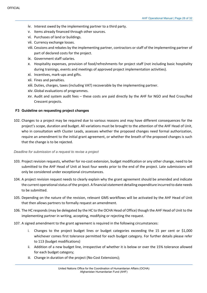- iv. Interest owed by the implementing partner to a third party.
- v. Items already financed through other sources.
- vi. Purchases of land or buildings.
- vii. Currency exchange losses.
- viii. Cessions and rebates by the implementing partner, contractors or staff of the implementing partner of part of declared costs for the project.
- ix. Government staff salaries.
- x. Hospitality expenses, provision of food/refreshments for project staff (not including basic hospitality during trainings, events and meetings of approved project implementation activities).
- xi. Incentives, mark-ups and gifts.
- xii. Fines and penalties.
- xiii. Duties, charges, taxes (including VAT) recoverable by the implementing partner.
- xiv.Global evaluations of programmes.
- xv. Audit and system audit fees these costs are paid directly by the AHF for NGO and Red Cross/Red Crescent projects.

#### **F3 Guideline on requesting project changes**

102. Changes to a project may be required due to various reasons and may have different consequences for the project's scope, duration and budget. All variations must be brought to the attention of the AHF Head of Unit, who in consultation with Cluster Leads, assesses whether the proposed changes need formal authorization, require an amendment to the initial grant agreement, or whether the breath of the proposed changes is such that the change is to be rejected.

#### *Deadline for submission of a request to revise a project*

- 103. Project revision requests, whether for no-cost extension, budget modification or any other change, need to be submitted to the AHF Head of Unit at least four weeks prior to the end of the project. Late submissions will only be considered under exceptional circumstances.
- 104. A project revision request needs to clearly explain why the grant agreement should be amended and indicate the current operational status of the project. A financial statement detailing expenditure incurred to date needs to be submitted.
- 105. Depending on the nature of the revision, relevant GMS workflows will be activated by the AHF Head of Unit that then allows partners to formally request an amendment.
- 106. The HC responds (may be delegated by the HC to the OCHA Head of Office) though the AHF Head of Unit to the implementing partner in writing, accepting, modifying or rejecting the request.
- 107. A signed amendment to the grant agreement is required in the following circumstances:
	- i. Changes to the project budget lines or budget categories exceeding the 15 per cent or \$1,000 whichever comes first tolerance permitted for each budget category. For further details please refer to 113 (budget modifications)
	- ii. Addition of a new budget line, irrespective of whether it is below or over the 15% tolerance allowed for each budget category;
	- iii. Change in duration of the project (No-Cost Extensions);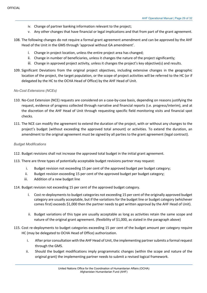- iv. Change of partner banking information relevant to the project;
- v. Any other changes that have financial or legal implications and that from part of the grant agreement.
- 108. The following changes do not require a formal grant agreement amendment and can be approved by the AHF Head of the Unit in the GMS through 'approval without GA amendment'.
	- i. Change in project location, unless the entire project area has changed;
	- ii. Change in number of beneficiaries, unless it changes the nature of the project significantly;
	- iii. Change in approved project activity, unless it changes the project's key objective(s) and results.
- 109. Significant Deviations from the original project objectives, including extensive changes in the geographic location of the project, the target population, or the scope of project activities will be referred to the HC (or if delegated by the HC to the OCHA Head of Office) by the AHF Head of Unit.

#### *No-Cost Extensions (NCEs)*

- 110. No-Cost Extension (NCE) requests are considered on a case-by-case basis, depending on reasons justifying the request, evidence of progress collected through narrative and financial reports (i.e. progress/interim), and at the discretion of the AHF Head of Unit through requesting specific field monitoring visits and financial spot checks.
- 111. The NCE can modify the agreement to extend the duration of the project, with or without any changes to the project's budget (without exceeding the approved total amount) or activities. To extend the duration, an amendment to the original agreement must be signed by all parties to the grant agreement (legal contract).

#### *Budget Modifications*

- 112. Budget revisions shall not increase the approved total budget in the initial grant agreement.
- 113. There are three types of potentially acceptable budget revisions partner may request:
	- i. Budget revision not exceeding 15 per cent of the approved budget per budget category;
	- ii. Budget revision exceeding 15 per cent of the approved budget per budget category;
	- iii. Addition of a new budget line

#### 114. Budget revision not exceeding 15 per cent of the approved budget category.

- i. Cost re-deployments to budget categories not exceeding 15 per cent of the originally approved budget category are usually acceptable, but if the variations for the budget line or budget category (whichever comes first) exceeds \$1,000 then the partner needs to get written approval by the AHF Head of Unit).
- ii. Budget variations of this type are usually acceptable as long as activities retain the same scope and nature of the original grant agreement. (flexibility of \$1,000, as stated in the paragraph above)
- 115. Cost re-deployments to budget categories exceeding 15 per cent of the budget amount per category require HC (may be delegated to OCHA Head of Office) authorization.
	- i. After prior consultation with the AHF Head of Unit, the implementing partner submits a formal request through the GMS.
	- ii. Should the budget modifications imply programmatic changes (within the scope and nature of the original grant) the implementing partner needs to submit a revised logical framework.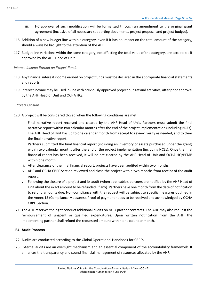- iii. HC approval of such modification will be formalized through an amendment to the original grant agreement (inclusive of all necessary supporting documents, project proposal and project budget).
- 116. Addition of a new budget line within a category, even if it has no impact on the total amount of the category, should always be brought to the attention of the AHF.
- 117. Budget line variations within the same category, not affecting the total value of the category, are acceptable if approved by the AHF Head of Unit.

#### *Interest Income Earned on Project Funds*

- 118. Any financial interest income earned on project funds must be declared in the appropriate financial statements and reports.
- 119. Interest income may be used in-line with previously approved project budget and activities, after prior approval by the AHF Head of Unit and OCHA HQ.

#### *Project Closure*

- 120. A project will be considered closed when the following conditions are met:
	- i. Final narrative report received and cleared by the AHF Head of Unit. Partners must submit the final narrative report within two calendar months after the end of the project implementation (including NCEs). The AHF Head of Unit has up to one calendar month from receipt to review, verify as needed, and to clear the final narrative report.
	- ii. Partners submitted the final financial report (including an inventory of assets purchased under the grant) within two calendar months after the end of the project implementation (including NCEs). Once the final financial report has been received, it will be pre-cleared by the AHF Head of Unit and OCHA HQ/PFMB within one month.
	- iii. After clearance of the final financial report, projects have been audited within two months.
	- iv. AHF and OCHA CBPF Section reviewed and close the project within two months from receipt of the audit report.
	- v. Following the closure of a project and its audit (when applicable), partners are notified by the AHF Head of Unit about the exact amount to be refunded (if any). Partners have one month from the date of notification to refund amounts due. Non-compliance with the request will be subject to specific measures outlined in the Annex 15 (Compliance Measures). Proof of payment needs to be received and acknowledged by OCHA CBPF Section.
- 121. The AHF reserves the right conduct additional audits on NGO partner contracts. The AHF may also request the reimbursement of unspent or qualified expenditures. Upon written notification from the AHF, the implementing partner shall refund the requested amount within one calendar month.

#### **F4 Audit Process**

- 122. Audits are conducted according to the Global Operational Handbook for CBPFs.
- 123. External audits are an oversight mechanism and an essential component of the accountability framework. It enhances the transparency and sound financial management of resources allocated by the AHF.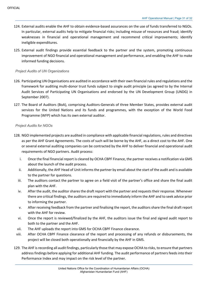- 124. External audits enable the AHF to obtain evidence-based assurances on the use of funds transferred to NGOs. In particular, external audits help to mitigate financial risks; including misuse of resources and fraud; identify weaknesses in financial and operational management and recommend critical improvements; identify ineligible expenditures.
- 125. External audit findings provide essential feedback to the partner and the system, promoting continuous improvement of NGO financial and operational management and performance, and enabling the AHF to make informed funding decisions.

#### *Project Audits of UN Organizations*

- 126. Participating UN Organisations are audited in accordance with their own financial rules and regulations and the framework for auditing multi-donor trust funds subject to single audit principle (as agreed to by the Internal Audit Services of Participating UN Organisations and endorsed by the UN Development Group (UNDG) in September 2007).
- 127. The Board of Auditors (BoA), comprising Auditors-Generals of three Member States, provides external audit services for the United Nations and its funds and programmes, with the exception of the World Food Programme (WFP) which has its own external auditor.

#### *Project Audits for NGOs*

- 128. NGO implemented projects are audited in compliance with applicable financial regulations, rules and directives as per the AHF Grant Agreements. The costs of such will be borne by the AHF, as a direct cost to the AHF. One or several external auditing companies can be contracted by the AHF to deliver financial and operational audit requirements of NGO partners. Audit process:
	- i. Once the final financial report is cleared by OCHA CBPF Finance, the partner receives a notification via GMS about the launch of the audit process.
	- ii. Additionally, the AHF Head of Unit informs the partner by email about the start of the audit and is available to the partner for questions.
	- iii. The auditors contact the partner to agree on a field visit of the partner's office and share the final audit plan with the AHF.
	- iv. After the audit, the auditor shares the draft report with the partner and requeststheir response. Whenever there are critical findings, the auditors are required to immediately inform the AHF and to seek advice prior to informing the partner.
	- v. After receiving feedback from the partner and finalising the report, the auditors share the final draft report with the AHF for review.
	- vi. Once the report is reviewed/finalized by the AHF, the auditors issue the final and signed audit report to both to the partner and the AHF.
	- vii. The AHF uploads the report into GMS for OCHA CBPF Finance clearance.
	- viii. After OCHA CBPF Finance clearance of the report and processing of any refunds or disbursements, the project will be closed both operationally and financially by the AHF in GMS.
- 129. The AHF is recording all audit findings, particularly those that may expose OCHA to risks, to ensure that partners address findings before applying for additional AHF funding. The audit performance of partners feedsinto their Performance Index and may impact on the risk level of the partner.